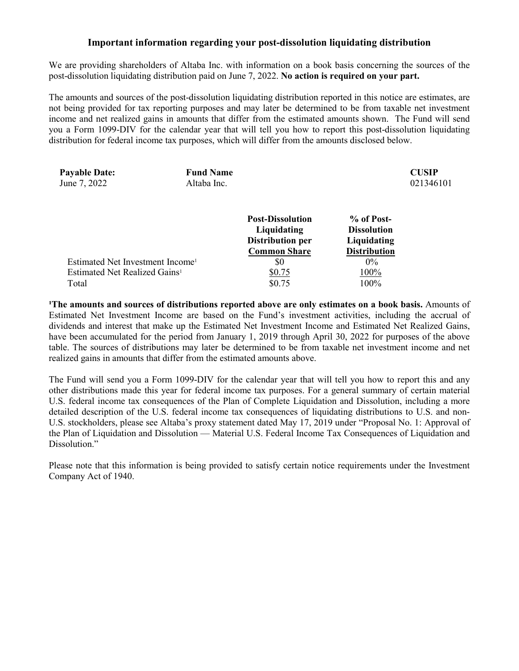## **Important information regarding your post-dissolution liquidating distribution**

We are providing shareholders of Altaba Inc. with information on a book basis concerning the sources of the post-dissolution liquidating distribution paid on June 7, 2022. **No action is required on your part.** 

The amounts and sources of the post-dissolution liquidating distribution reported in this notice are estimates, are not being provided for tax reporting purposes and may later be determined to be from taxable net investment income and net realized gains in amounts that differ from the estimated amounts shown. The Fund will send you a Form 1099-DIV for the calendar year that will tell you how to report this post-dissolution liquidating distribution for federal income tax purposes, which will differ from the amounts disclosed below.

| <b>Payable Date:</b><br>June 7, 2022         | <b>Fund Name</b><br>Altaba Inc. |                                        |                                  | <b>CUSIP</b><br>021346101 |
|----------------------------------------------|---------------------------------|----------------------------------------|----------------------------------|---------------------------|
|                                              |                                 | <b>Post-Dissolution</b><br>Liquidating | % of Post-<br><b>Dissolution</b> |                           |
|                                              |                                 | <b>Distribution per</b>                | Liquidating                      |                           |
|                                              |                                 | <b>Common Share</b>                    | <b>Distribution</b>              |                           |
| Estimated Net Investment Income <sup>1</sup> |                                 | \$0                                    | $0\%$                            |                           |
| Estimated Net Realized Gains <sup>1</sup>    |                                 | \$0.75                                 | 100%                             |                           |
| Total                                        |                                 | \$0.75                                 | 100%                             |                           |
|                                              |                                 |                                        |                                  |                           |

**¹The amounts and sources of distributions reported above are only estimates on a book basis.** Amounts of Estimated Net Investment Income are based on the Fund's investment activities, including the accrual of dividends and interest that make up the Estimated Net Investment Income and Estimated Net Realized Gains, have been accumulated for the period from January 1, 2019 through April 30, 2022 for purposes of the above table. The sources of distributions may later be determined to be from taxable net investment income and net realized gains in amounts that differ from the estimated amounts above.

The Fund will send you a Form 1099-DIV for the calendar year that will tell you how to report this and any other distributions made this year for federal income tax purposes. For a general summary of certain material U.S. federal income tax consequences of the Plan of Complete Liquidation and Dissolution, including a more detailed description of the U.S. federal income tax consequences of liquidating distributions to U.S. and non-U.S. stockholders, please see Altaba's proxy statement dated May 17, 2019 under "Proposal No. 1: Approval of the Plan of Liquidation and Dissolution — Material U.S. Federal Income Tax Consequences of Liquidation and Dissolution."

Please note that this information is being provided to satisfy certain notice requirements under the Investment Company Act of 1940.